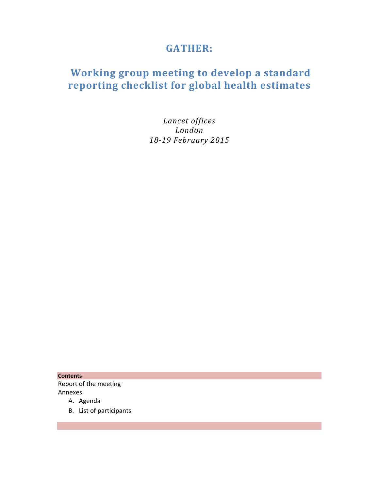# **GATHER:**

# **Working group meeting to develop a standard reporting checklist for global health estimates**

*Lancet offices London 18‐19 February 2015*

**Contents** Report of the meeting Annexes

- A. Agenda
- B. List of participants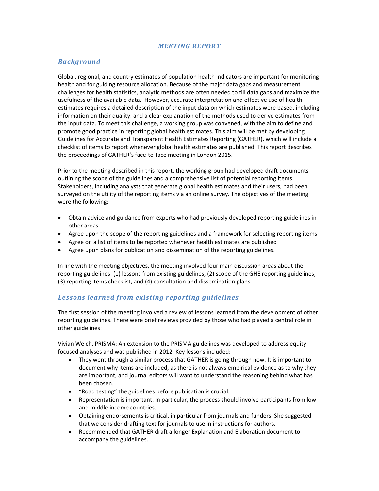#### *MEETING REPORT*

### *Background*

Global, regional, and country estimates of population health indicators are important for monitoring health and for guiding resource allocation. Because of the major data gaps and measurement challenges for health statistics, analytic methods are often needed to fill data gaps and maximize the usefulness of the available data. However, accurate interpretation and effective use of health estimates requires a detailed description of the input data on which estimates were based, including information on their quality, and a clear explanation of the methods used to derive estimates from the input data. To meet this challenge, a working group was convened, with the aim to define and promote good practice in reporting global health estimates. This aim will be met by developing Guidelines for Accurate and Transparent Health Estimates Reporting (GATHER), which will include a checklist of items to report whenever global health estimates are published. This report describes the proceedings of GATHER's face‐to‐face meeting in London 2015.

Prior to the meeting described in this report, the working group had developed draft documents outlining the scope of the guidelines and a comprehensive list of potential reporting items. Stakeholders, including analysts that generate global health estimates and their users, had been surveyed on the utility of the reporting items via an online survey. The objectives of the meeting were the following:

- Obtain advice and guidance from experts who had previously developed reporting guidelines in other areas
- Agree upon the scope of the reporting guidelines and a framework for selecting reporting items
- Agree on a list of items to be reported whenever health estimates are published
- Agree upon plans for publication and dissemination of the reporting guidelines.

In line with the meeting objectives, the meeting involved four main discussion areas about the reporting guidelines: (1) lessons from existing guidelines, (2) scope of the GHE reporting guidelines, (3) reporting items checklist, and (4) consultation and dissemination plans.

#### *Lessons learned from existing reporting guidelines*

The first session of the meeting involved a review of lessons learned from the development of other reporting guidelines. There were brief reviews provided by those who had played a central role in other guidelines:

Vivian Welch, PRISMA: An extension to the PRISMA guidelines was developed to address equity‐ focused analyses and was published in 2012. Key lessons included:

- They went through a similar process that GATHER is going through now. It is important to document why items are included, as there is not always empirical evidence as to why they are important, and journal editors will want to understand the reasoning behind what has been chosen.
- "Road testing" the guidelines before publication is crucial.
- Representation is important. In particular, the process should involve participants from low and middle income countries.
- Obtaining endorsements is critical, in particular from journals and funders. She suggested that we consider drafting text for journals to use in instructions for authors.
- Recommended that GATHER draft a longer Explanation and Elaboration document to accompany the guidelines.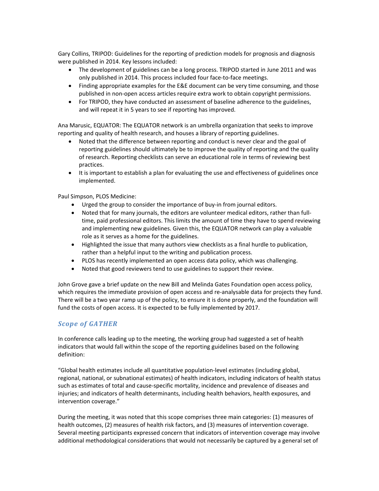Gary Collins, TRIPOD: Guidelines for the reporting of prediction models for prognosis and diagnosis were published in 2014. Key lessons included:

- The development of guidelines can be a long process. TRIPOD started in June 2011 and was only published in 2014. This process included four face‐to‐face meetings.
- Finding appropriate examples for the E&E document can be very time consuming, and those published in non‐open access articles require extra work to obtain copyright permissions.
- For TRIPOD, they have conducted an assessment of baseline adherence to the guidelines, and will repeat it in 5 years to see if reporting has improved.

Ana Marusic, EQUATOR: The EQUATOR network is an umbrella organization that seeks to improve reporting and quality of health research, and houses a library of reporting guidelines.

- Noted that the difference between reporting and conduct is never clear and the goal of reporting guidelines should ultimately be to improve the quality of reporting and the quality of research. Reporting checklists can serve an educational role in terms of reviewing best practices.
- It is important to establish a plan for evaluating the use and effectiveness of guidelines once implemented.

Paul Simpson, PLOS Medicine:

- Urged the group to consider the importance of buy-in from journal editors.
- Noted that for many journals, the editors are volunteer medical editors, rather than fulltime, paid professional editors. This limits the amount of time they have to spend reviewing and implementing new guidelines. Given this, the EQUATOR network can play a valuable role as it serves as a home for the guidelines.
- Highlighted the issue that many authors view checklists as a final hurdle to publication, rather than a helpful input to the writing and publication process.
- PLOS has recently implemented an open access data policy, which was challenging.
- Noted that good reviewers tend to use guidelines to support their review.

John Grove gave a brief update on the new Bill and Melinda Gates Foundation open access policy, which requires the immediate provision of open access and re-analysable data for projects they fund. There will be a two year ramp up of the policy, to ensure it is done properly, and the foundation will fund the costs of open access. It is expected to be fully implemented by 2017.

## *Scope of GATHER*

In conference calls leading up to the meeting, the working group had suggested a set of health indicators that would fall within the scope of the reporting guidelines based on the following definition:

"Global health estimates include all quantitative population‐level estimates (including global, regional, national, or subnational estimates) of health indicators, including indicators of health status such as estimates of total and cause‐specific mortality, incidence and prevalence of diseases and injuries; and indicators of health determinants, including health behaviors, health exposures, and intervention coverage."

During the meeting, it was noted that this scope comprises three main categories: (1) measures of health outcomes, (2) measures of health risk factors, and (3) measures of intervention coverage. Several meeting participants expressed concern that indicators of intervention coverage may involve additional methodological considerations that would not necessarily be captured by a general set of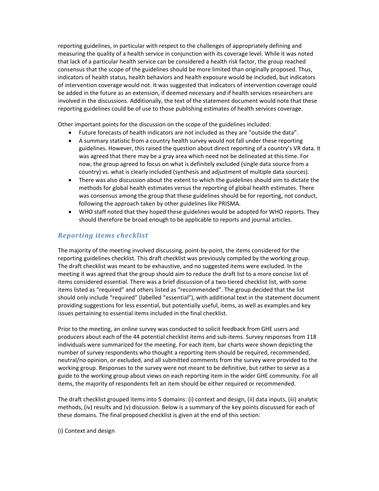reporting guidelines, in particular with respect to the challenges of appropriately defining and measuring the quality of a health service in conjunction with its coverage level. While it was noted that lack of a particular health service can be considered a health risk factor, the group reached consensus that the scope of the guidelines should be more limited than originally proposed. Thus, indicators of health status, health behaviors and health exposure would be included, but indicators of intervention coverage would not. It was suggested that indicators of intervention coverage could be added in the future as an extension, if deemed necessary and if health services researchers are involved in the discussions. Additionally, the text of the statement document would note that these reporting guidelines could be of use to those publishing estimates of health services coverage.

Other important points for the discussion on the scope of the guidelines included:

- Future forecasts of health indicators are not included as they are "outside the data".
- A summary statistic from a country health survey would not fall under these reporting guidelines. However, this raised the question about direct reporting of a country's VR data. It was agreed that there may be a gray area which need not be delineated at this time. For now, the group agreed to focus on what is definitely excluded (single data source from a country) vs. what is clearly included (synthesis and adjustment of multiple data sources).
- There was also discussion about the extent to which the guidelines should aim to dictate the methods for global health estimates versus the reporting of global health estimates. There was consensus among the group that these guidelines should be for reporting, not conduct, following the approach taken by other guidelines like PRISMA.
- WHO staff noted that they hoped these guidelines would be adopted for WHO reports. They should therefore be broad enough to be applicable to reports and journal articles.

## *Reporting items checklist*

The majority of the meeting involved discussing, point‐by‐point, the items considered for the reporting guidelines checklist. This draft checklist was previously compiled by the working group. The draft checklist was meant to be exhaustive, and no suggested items were excluded. In the meeting it was agreed that the group should aim to reduce the draft list to a more concise list of items considered essential. There was a brief discussion of a two-tiered checklist list, with some items listed as "required" and others listed as "recommended". The group decided that the list should only include "required" (labelled "essential"), with additional text in the statement document providing suggestions for less essential, but potentially useful, items, as well as examples and key issues pertaining to essential items included in the final checklist.

Prior to the meeting, an online survey was conducted to solicit feedback from GHE users and producers about each of the 44 potential checklist items and sub‐items. Survey responses from 118 individuals were summarized for the meeting. For each item, bar charts were shown depicting the number of survey respondents who thought a reporting item should be required, recommended, neutral/no opinion, or excluded, and all submitted comments from the survey were provided to the working group. Responses to the survey were not meant to be definitive, but rather to serve as a guide to the working group about views on each reporting item in the wider GHE community. For all items, the majority of respondents felt an item should be either required or recommended.

The draft checklist grouped items into 5 domains: (i) context and design, (ii) data inputs, (iii) analytic methods, (iv) results and (v) discussion. Below is a summary of the key points discussed for each of these domains. The final proposed checklist is given at the end of this section:

(i) Context and design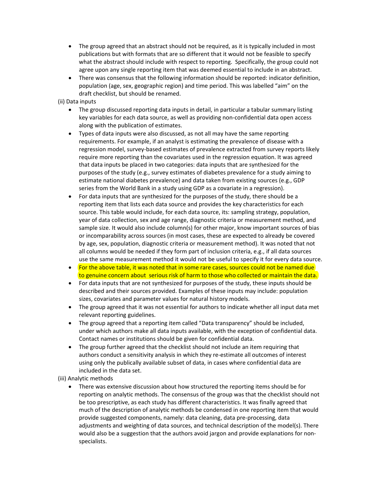- The group agreed that an abstract should not be required, as it is typically included in most publications but with formats that are so different that it would not be feasible to specify what the abstract should include with respect to reporting. Specifically, the group could not agree upon any single reporting item that was deemed essential to include in an abstract.
- There was consensus that the following information should be reported: indicator definition, population (age, sex, geographic region) and time period. This was labelled "aim" on the draft checklist, but should be renamed.

#### (ii) Data inputs

- The group discussed reporting data inputs in detail, in particular a tabular summary listing key variables for each data source, as well as providing non‐confidential data open access along with the publication of estimates.
- Types of data inputs were also discussed, as not all may have the same reporting requirements. For example, if an analyst is estimating the prevalence of disease with a regression model, survey‐based estimates of prevalence extracted from survey reports likely require more reporting than the covariates used in the regression equation. It was agreed that data inputs be placed in two categories: data inputs that are synthesized for the purposes of the study (e.g., survey estimates of diabetes prevalence for a study aiming to estimate national diabetes prevalence) and data taken from existing sources (e.g., GDP series from the World Bank in a study using GDP as a covariate in a regression).
- For data inputs that are synthesized for the purposes of the study, there should be a reporting item that lists each data source and provides the key characteristics for each source. This table would include, for each data source, its: sampling strategy, population, year of data collection, sex and age range, diagnostic criteria or measurement method, and sample size. It would also include column(s) for other major, know important sources of bias or incomparability across sources (in most cases, these are expected to already be covered by age, sex, population, diagnostic criteria or measurement method). It was noted that not all columns would be needed if they form part of inclusion criteria, e.g., if all data sources use the same measurement method it would not be useful to specify it for every data source.
- For the above table, it was noted that in some rare cases, sources could not be named due to genuine concern about serious risk of harm to those who collected or maintain the data.
- For data inputs that are not synthesized for purposes of the study, these inputs should be described and their sources provided. Examples of these inputs may include: population sizes, covariates and parameter values for natural history models.
- The group agreed that it was not essential for authors to indicate whether all input data met relevant reporting guidelines.
- The group agreed that a reporting item called "Data transparency" should be included, under which authors make all data inputs available, with the exception of confidential data. Contact names or institutions should be given for confidential data.
- The group further agreed that the checklist should not include an item requiring that authors conduct a sensitivity analysis in which they re‐estimate all outcomes of interest using only the publically available subset of data, in cases where confidential data are included in the data set.

#### (iii) Analytic methods

 There was extensive discussion about how structured the reporting items should be for reporting on analytic methods. The consensus of the group was that the checklist should not be too prescriptive, as each study has different characteristics. It was finally agreed that much of the description of analytic methods be condensed in one reporting item that would provide suggested components, namely: data cleaning, data pre‐processing, data adjustments and weighting of data sources, and technical description of the model(s). There would also be a suggestion that the authors avoid jargon and provide explanations for nonspecialists.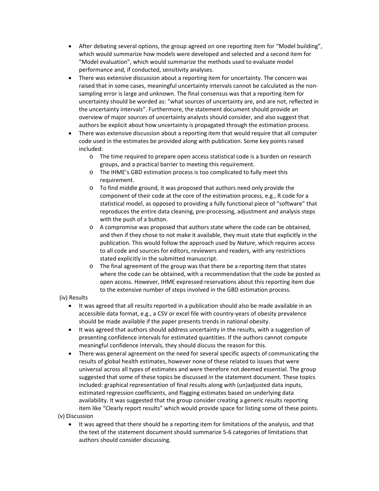- After debating several options, the group agreed on one reporting item for "Model building", which would summarize how models were developed and selected and a second item for "Model evaluation", which would summarize the methods used to evaluate model performance and, if conducted, sensitivity analyses.
- There was extensive discussion about a reporting item for uncertainty. The concern was raised that in some cases, meaningful uncertainty intervals cannot be calculated as the nonsampling error is large and unknown. The final consensus was that a reporting item for uncertainty should be worded as: "what sources of uncertainty are, and are not, reflected in the uncertainty intervals". Furthermore, the statement document should provide an overview of major sources of uncertainty analysts should consider, and also suggest that authors be explicit about how uncertainty is propagated through the estimation process.
- There was extensive discussion about a reporting item that would require that all computer code used in the estimates be provided along with publication. Some key points raised included:
	- o The time required to prepare open access statistical code is a burden on research groups, and a practical barrier to meeting this requirement.
	- o The IHME's GBD estimation process is too complicated to fully meet this requirement.
	- o To find middle ground, it was proposed that authors need only provide the component of their code at the core of the estimation process, e.g., R code for a statistical model, as opposed to providing a fully functional piece of "software" that reproduces the entire data cleaning, pre‐processing, adjustment and analysis steps with the push of a button.
	- o A compromise was proposed that authors state where the code can be obtained, and then if they chose to not make it available, they must state that explicitly in the publication. This would follow the approach used by *Nature*, which requires access to all code and sources for editors, reviewers and readers, with any restrictions stated explicitly in the submitted manuscript.
	- o The final agreement of the group was that there be a reporting item that states where the code can be obtained, with a recommendation that the code be posted as open access. However, IHME expressed reservations about this reporting item due to the extensive number of steps involved in the GBD estimation process.

#### (iv) Results

- It was agreed that all results reported in a publication should also be made available in an accessible data format, e.g., a CSV or excel file with country‐years of obesity prevalence should be made available if the paper presents trends in national obesity.
- It was agreed that authors should address uncertainty in the results, with a suggestion of presenting confidence intervals for estimated quantities. If the authors cannot compute meaningful confidence intervals, they should discuss the reason for this.
- There was general agreement on the need for several specific aspects of communicating the results of global health estimates, however none of these related to issues that were universal across all types of estimates and were therefore not deemed essential. The group suggested that some of these topics be discussed in the statement document. These topics included: graphical representation of final results along with (un)adjusted data inputs, estimated regression coefficients, and flagging estimates based on underlying data availability. It was suggested that the group consider creating a generic results reporting item like "Clearly report results" which would provide space for listing some of these points.

(v) Discussion

 It was agreed that there should be a reporting item for limitations of the analysis, and that the text of the statement document should summarize 5‐6 categories of limitations that authors should consider discussing.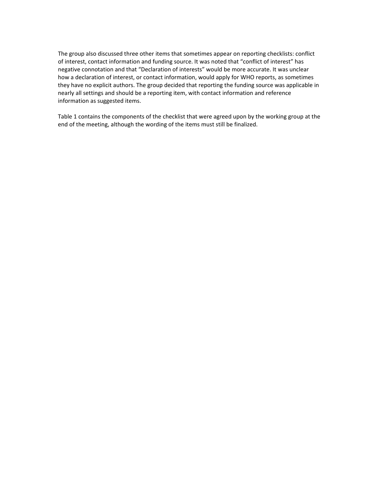The group also discussed three other items that sometimes appear on reporting checklists: conflict of interest, contact information and funding source. It was noted that "conflict of interest" has negative connotation and that "Declaration of interests" would be more accurate. It was unclear how a declaration of interest, or contact information, would apply for WHO reports, as sometimes they have no explicit authors. The group decided that reporting the funding source was applicable in nearly all settings and should be a reporting item, with contact information and reference information as suggested items.

Table 1 contains the components of the checklist that were agreed upon by the working group at the end of the meeting, although the wording of the items must still be finalized.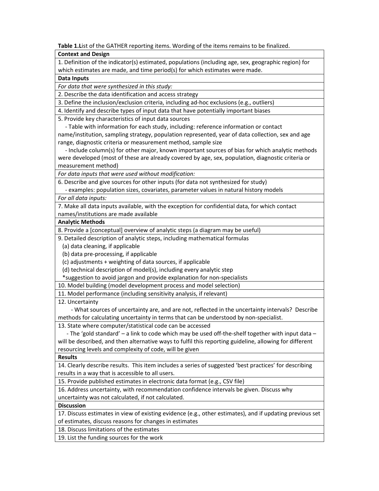**Table 1.L**ist of the GATHER reporting items. Wording of the items remains to be finalized.

#### **Context and Design**

1. Definition of the indicator(s) estimated, populations (including age, sex, geographic region) for which estimates are made, and time period(s) for which estimates were made.

#### **Data Inputs**

*For data that were synthesized in this study:*

2. Describe the data identification and access strategy

3. Define the inclusion/exclusion criteria, including ad‐hoc exclusions (e.g., outliers)

4. Identify and describe types of input data that have potentially important biases

5. Provide key characteristics of input data sources

 ‐ Table with information for each study, including: reference information or contact name/institution, sampling strategy, population represented, year of data collection, sex and age range, diagnostic criteria or measurement method, sample size

 ‐ Include column(s) for other major, known important sources of bias for which analytic methods were developed (most of these are already covered by age, sex, population, diagnostic criteria or measurement method)

*For data inputs that were used without modification:*

6. Describe and give sources for other inputs (for data not synthesized for study)

‐ examples: population sizes, covariates, parameter values in natural history models

#### *For all data inputs:*

7. Make all data inputs available, with the exception for confidential data, for which contact

names/institutions are made available

## **Analytic Methods**

8. Provide a [conceptual] overview of analytic steps (a diagram may be useful)

9. Detailed description of analytic steps, including mathematical formulas

(a) data cleaning, if applicable

(b) data pre‐processing, if applicable

(c) adjustments + weighting of data sources, if applicable

(d) technical description of model(s), including every analytic step

\*suggestion to avoid jargon and provide explanation for non‐specialists

10. Model building (model development process and model selection)

11. Model performance (including sensitivity analysis, if relevant)

12. Uncertainty

 ‐ What sources of uncertainty are, and are not, reflected in the uncertainty intervals? Describe methods for calculating uncertainty in terms that can be understood by non‐specialist.

13. State where computer/statistical code can be accessed

 ‐ The 'gold standard' – a link to code which may be used off‐the‐shelf together with input data – will be described, and then alternative ways to fulfil this reporting guideline, allowing for different resourcing levels and complexity of code, will be given

#### **Results**

14. Clearly describe results. This item includes a series of suggested 'best practices' for describing results in a way that is accessible to all users.

15. Provide published estimates in electronic data format (e.g., CSV file)

16. Address uncertainty, with recommendation confidence intervals be given. Discuss why uncertainty was not calculated, if not calculated.

#### **Discussion**

17. Discuss estimates in view of existing evidence (e.g., other estimates), and if updating previous set of estimates, discuss reasons for changes in estimates

18. Discuss limitations of the estimates

19. List the funding sources for the work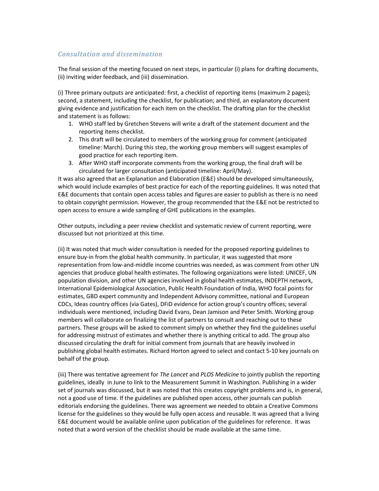#### *Consultation and dissemination*

The final session of the meeting focused on next steps, in particular (i) plans for drafting documents, (ii) inviting wider feedback, and (iii) dissemination.

(i) Three primary outputs are anticipated: first, a checklist of reporting items (maximum 2 pages); second, a statement, including the checklist, for publication; and third, an explanatory document giving evidence and justification for each item on the checklist. The drafting plan for the checklist and statement is as follows:

- 1. WHO staff led by Gretchen Stevens will write a draft of the statement document and the reporting items checklist.
- 2. This draft will be circulated to members of the working group for comment (anticipated timeline: March). During this step, the working group members will suggest examples of good practice for each reporting item.
- 3. After WHO staff incorporate comments from the working group, the final draft will be circulated for larger consultation (anticipated timeline: April/May).

It was also agreed that an Explanation and Elaboration (E&E) should be developed simultaneously, which would include examples of best practice for each of the reporting guidelines. It was noted that E&E documents that contain open access tables and figures are easier to publish as there is no need to obtain copyright permission. However, the group recommended that the E&E not be restricted to open access to ensure a wide sampling of GHE publications in the examples.

Other outputs, including a peer review checklist and systematic review of current reporting, were discussed but not prioritized at this time.

(ii) It was noted that much wider consultation is needed for the proposed reporting guidelines to ensure buy‐in from the global health community. In particular, it was suggested that more representation from low‐and‐middle income countries was needed, as was comment from other UN agencies that produce global health estimates. The following organizations were listed: UNICEF, UN population division, and other UN agencies involved in global health estimates, INDEPTH network, International Epidemiological Association, Public Health Foundation of India, WHO focal points for estimates, GBD expert community and Independent Advisory committee, national and European CDCs, Ideas country offices (via Gates), DFiD evidence for action group's country offices; several individuals were mentioned, including David Evans, Dean Jamison and Peter Smith. Working group members will collaborate on finalizing the list of partners to consult and reaching out to these partners. These groups will be asked to comment simply on whether they find the guidelines useful for addressing mistrust of estimates and whether there is anything critical to add. The group also discussed circulating the draft for initial comment from journals that are heavily involved in publishing global health estimates. Richard Horton agreed to select and contact 5‐10 key journals on behalf of the group.

(iii) There was tentative agreement for *The Lancet* and *PLOS Medicine* to jointly publish the reporting guidelines, ideally in June to link to the Measurement Summit in Washington. Publishing in a wider set of journals was discussed, but it was noted that this creates copyright problems and is, in general, not a good use of time. If the guidelines are published open access, other journals can publish editorials endorsing the guidelines. There was agreement we needed to obtain a Creative Commons license for the guidelines so they would be fully open access and reusable. It was agreed that a living E&E document would be available online upon publication of the guidelines for reference. It was noted that a word version of the checklist should be made available at the same time.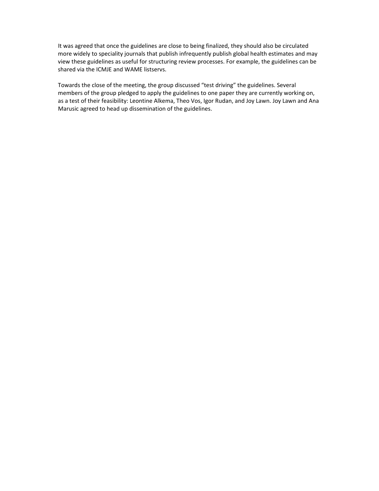It was agreed that once the guidelines are close to being finalized, they should also be circulated more widely to speciality journals that publish infrequently publish global health estimates and may view these guidelines as useful for structuring review processes. For example, the guidelines can be shared via the ICMJE and WAME listservs.

Towards the close of the meeting, the group discussed "test driving" the guidelines. Several members of the group pledged to apply the guidelines to one paper they are currently working on, as a test of their feasibility: Leontine Alkema, Theo Vos, Igor Rudan, and Joy Lawn. Joy Lawn and Ana Marusic agreed to head up dissemination of the guidelines.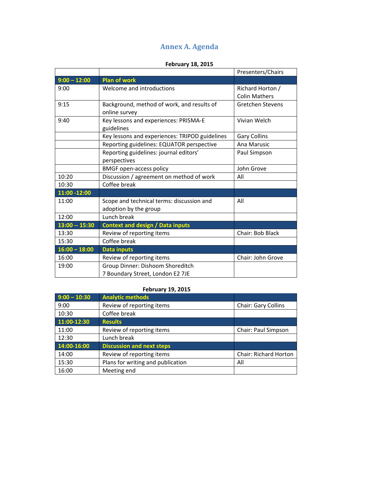# **Annex A. Agenda**

# **February 18, 2015**

|                 |                                                | Presenters/Chairs       |
|-----------------|------------------------------------------------|-------------------------|
| $9:00 - 12:00$  | <b>Plan of work</b>                            |                         |
| 9:00            | Welcome and introductions                      | Richard Horton /        |
|                 |                                                | <b>Colin Mathers</b>    |
| 9:15            | Background, method of work, and results of     | <b>Gretchen Stevens</b> |
|                 | online survey                                  |                         |
| 9:40            | Key lessons and experiences: PRISMA-E          | Vivian Welch            |
|                 | guidelines                                     |                         |
|                 | Key lessons and experiences: TRIPOD guidelines | <b>Gary Collins</b>     |
|                 | Reporting guidelines: EQUATOR perspective      | Ana Marusic             |
|                 | Reporting guidelines: journal editors'         | Paul Simpson            |
|                 | perspectives                                   |                         |
|                 | <b>BMGF</b> open-access policy                 | John Grove              |
| 10:20           | Discussion / agreement on method of work       | All                     |
| 10:30           | Coffee break                                   |                         |
| $11:00 - 12:00$ |                                                |                         |
| 11:00           | Scope and technical terms: discussion and      | All                     |
|                 | adoption by the group                          |                         |
| 12:00           | Lunch break                                    |                         |
| 13:00 -- 15:30  | <b>Context and design / Data inputs</b>        |                         |
| 13:30           | Review of reporting items                      | Chair: Bob Black        |
| 15:30           | Coffee break                                   |                         |
| $16:00 - 18:00$ | <b>Data inputs</b>                             |                         |
| 16:00           | Review of reporting items                      | Chair: John Grove       |
| 19:00           | Group Dinner: Dishoom Shoreditch               |                         |
|                 | 7 Boundary Street, London E2 7JE               |                         |

### **February 19, 2015**

| $9:00 - 10:30$ | <b>Analytic methods</b>           |                              |
|----------------|-----------------------------------|------------------------------|
| 9:00           | Review of reporting items         | Chair: Gary Collins          |
| 10:30          | Coffee break                      |                              |
| 11:00-12:30    | <b>Results</b>                    |                              |
| 11:00          | Review of reporting items         | Chair: Paul Simpson          |
| 12:30          | Lunch break                       |                              |
| 14:00-16:00    | <b>Discussion and next steps</b>  |                              |
| 14:00          | Review of reporting items         | <b>Chair: Richard Horton</b> |
| 15:30          | Plans for writing and publication | All                          |
| 16:00          | Meeting end                       |                              |